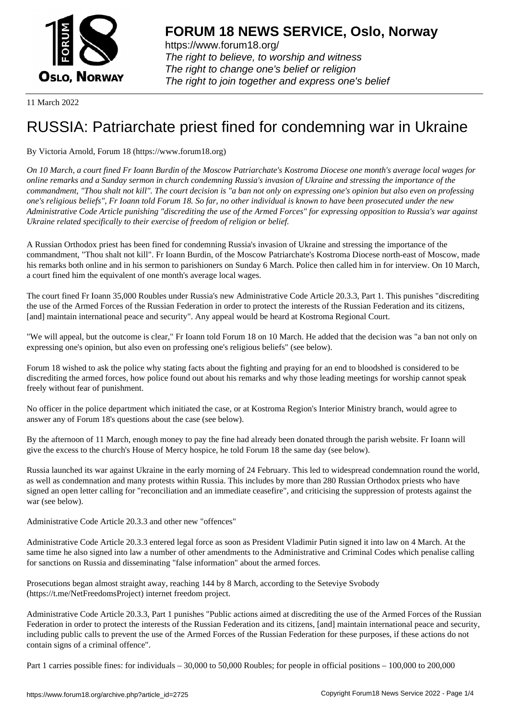

https://www.forum18.org/ The right to believe, to worship and witness The right to change one's belief or religion [The right to join together a](https://www.forum18.org/)nd express one's belief

11 March 2022

## [RUSSIA: Patria](https://www.forum18.org)rchate priest fined for condemning war in Ukraine

## By Victoria Arnold, Forum 18 (https://www.forum18.org)

*On 10 March, a court fined Fr Ioann Burdin of the Moscow Patriarchate's Kostroma Diocese one month's average local wages for online remarks and a Sunday sermon in church condemning Russia's invasion of Ukraine and stressing the importance of the commandment, "Thou shalt not kill". The court decision is "a ban not only on expressing one's opinion but also even on professing one's religious beliefs", Fr Ioann told Forum 18. So far, no other individual is known to have been prosecuted under the new Administrative Code Article punishing "discrediting the use of the Armed Forces" for expressing opposition to Russia's war against Ukraine related specifically to their exercise of freedom of religion or belief.*

A Russian Orthodox priest has been fined for condemning Russia's invasion of Ukraine and stressing the importance of the commandment, "Thou shalt not kill". Fr Ioann Burdin, of the Moscow Patriarchate's Kostroma Diocese north-east of Moscow, made his remarks both online and in his sermon to parishioners on Sunday 6 March. Police then called him in for interview. On 10 March, a court fined him the equivalent of one month's average local wages.

The court fined Fr Ioann 35,000 Roubles under Russia's new Administrative Code Article 20.3.3, Part 1. This punishes "discrediting the use of the Armed Forces of the Russian Federation in order to protect the interests of the Russian Federation and its citizens, [and] maintain international peace and security". Any appeal would be heard at Kostroma Regional Court.

"We will appeal, but the outcome is clear," Fr Ioann told Forum 18 on 10 March. He added that the decision was "a ban not only on expressing one's opinion, but also even on professing one's religious beliefs" (see below).

Forum 18 wished to ask the police why stating facts about the fighting and praying for an end to bloodshed is considered to be discrediting the armed forces, how police found out about his remarks and why those leading meetings for worship cannot speak freely without fear of punishment.

No officer in the police department which initiated the case, or at Kostroma Region's Interior Ministry branch, would agree to answer any of Forum 18's questions about the case (see below).

By the afternoon of 11 March, enough money to pay the fine had already been donated through the parish website. Fr Ioann will give the excess to the church's House of Mercy hospice, he told Forum 18 the same day (see below).

Russia launched its war against Ukraine in the early morning of 24 February. This led to widespread condemnation round the world, as well as condemnation and many protests within Russia. This includes by more than 280 Russian Orthodox priests who have signed an open letter calling for "reconciliation and an immediate ceasefire", and criticising the suppression of protests against the war (see below).

Administrative Code Article 20.3.3 and other new "offences"

Administrative Code Article 20.3.3 entered legal force as soon as President Vladimir Putin signed it into law on 4 March. At the same time he also signed into law a number of other amendments to the Administrative and Criminal Codes which penalise calling for sanctions on Russia and disseminating "false information" about the armed forces.

Prosecutions began almost straight away, reaching 144 by 8 March, according to the Seteviye Svobody (https://t.me/NetFreedomsProject) internet freedom project.

Administrative Code Article 20.3.3, Part 1 punishes "Public actions aimed at discrediting the use of the Armed Forces of the Russian Federation in order to protect the interests of the Russian Federation and its citizens, [and] maintain international peace and security, including public calls to prevent the use of the Armed Forces of the Russian Federation for these purposes, if these actions do not contain signs of a criminal offence".

Part 1 carries possible fines: for individuals – 30,000 to 50,000 Roubles; for people in official positions – 100,000 to 200,000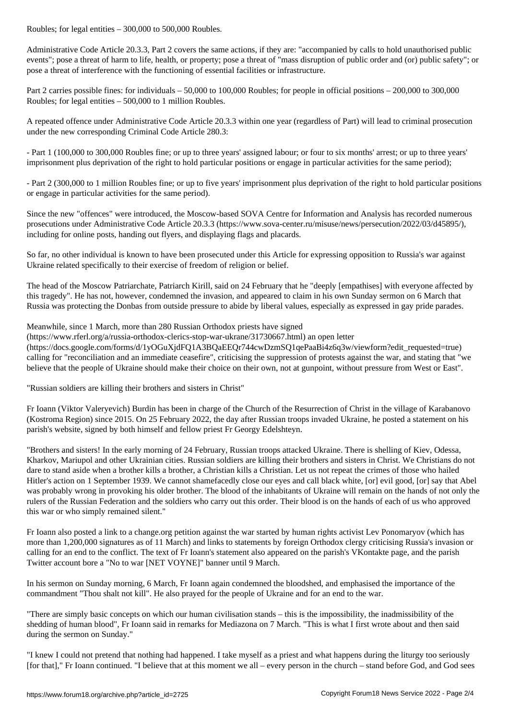Administrative Code Article 20.3.3, Part 2 covers the same actions, if they are: "accompanied by calls to hold unauthorised public events"; pose a threat of harm to life, health, or property; pose a threat of "mass disruption of public order and (or) public safety"; or pose a threat of interference with the functioning of essential facilities or infrastructure.

Part 2 carries possible fines: for individuals – 50,000 to 100,000 Roubles; for people in official positions – 200,000 to 300,000 Roubles; for legal entities – 500,000 to 1 million Roubles.

A repeated offence under Administrative Code Article 20.3.3 within one year (regardless of Part) will lead to criminal prosecution under the new corresponding Criminal Code Article 280.3:

- Part 1 (100,000 to 300,000 Roubles fine; or up to three years' assigned labour; or four to six months' arrest; or up to three years' imprisonment plus deprivation of the right to hold particular positions or engage in particular activities for the same period);

- Part 2 (300,000 to 1 million Roubles fine; or up to five years' imprisonment plus deprivation of the right to hold particular positions or engage in particular activities for the same period).

Since the new "offences" were introduced, the Moscow-based SOVA Centre for Information and Analysis has recorded numerous prosecutions under Administrative Code Article 20.3.3 (https://www.sova-center.ru/misuse/news/persecution/2022/03/d45895/), including for online posts, handing out flyers, and displaying flags and placards.

So far, no other individual is known to have been prosecuted under this Article for expressing opposition to Russia's war against Ukraine related specifically to their exercise of freedom of religion or belief.

The head of the Moscow Patriarchate, Patriarch Kirill, said on 24 February that he "deeply [empathises] with everyone affected by this tragedy". He has not, however, condemned the invasion, and appeared to claim in his own Sunday sermon on 6 March that Russia was protecting the Donbas from outside pressure to abide by liberal values, especially as expressed in gay pride parades.

## Meanwhile, since 1 March, more than 280 Russian Orthodox priests have signed

(https://www.rferl.org/a/russia-orthodox-clerics-stop-war-ukrane/31730667.html) an open letter

(https://docs.google.com/forms/d/1yOGuXjdFQ1A3BQaEEQr744cwDzmSQ1qePaaBi4z6q3w/viewform?edit\_requested=true) calling for "reconciliation and an immediate ceasefire", criticising the suppression of protests against the war, and stating that "we believe that the people of Ukraine should make their choice on their own, not at gunpoint, without pressure from West or East".

"Russian soldiers are killing their brothers and sisters in Christ"

Fr Ioann (Viktor Valeryevich) Burdin has been in charge of the Church of the Resurrection of Christ in the village of Karabanovo (Kostroma Region) since 2015. On 25 February 2022, the day after Russian troops invaded Ukraine, he posted a statement on his parish's website, signed by both himself and fellow priest Fr Georgy Edelshteyn.

"Brothers and sisters! In the early morning of 24 February, Russian troops attacked Ukraine. There is shelling of Kiev, Odessa, Kharkov, Mariupol and other Ukrainian cities. Russian soldiers are killing their brothers and sisters in Christ. We Christians do not dare to stand aside when a brother kills a brother, a Christian kills a Christian. Let us not repeat the crimes of those who hailed Hitler's action on 1 September 1939. We cannot shamefacedly close our eyes and call black white, [or] evil good, [or] say that Abel was probably wrong in provoking his older brother. The blood of the inhabitants of Ukraine will remain on the hands of not only the rulers of the Russian Federation and the soldiers who carry out this order. Their blood is on the hands of each of us who approved this war or who simply remained silent."

Fr Ioann also posted a link to a change.org petition against the war started by human rights activist Lev Ponomaryov (which has more than 1,200,000 signatures as of 11 March) and links to statements by foreign Orthodox clergy criticising Russia's invasion or calling for an end to the conflict. The text of Fr Ioann's statement also appeared on the parish's VKontakte page, and the parish Twitter account bore a "No to war [NET VOYNE]" banner until 9 March.

In his sermon on Sunday morning, 6 March, Fr Ioann again condemned the bloodshed, and emphasised the importance of the commandment "Thou shalt not kill". He also prayed for the people of Ukraine and for an end to the war.

"There are simply basic concepts on which our human civilisation stands – this is the impossibility, the inadmissibility of the shedding of human blood", Fr Ioann said in remarks for Mediazona on 7 March. "This is what I first wrote about and then said during the sermon on Sunday."

"I knew I could not pretend that nothing had happened. I take myself as a priest and what happens during the liturgy too seriously [for that]," Fr Ioann continued. "I believe that at this moment we all – every person in the church – stand before God, and God sees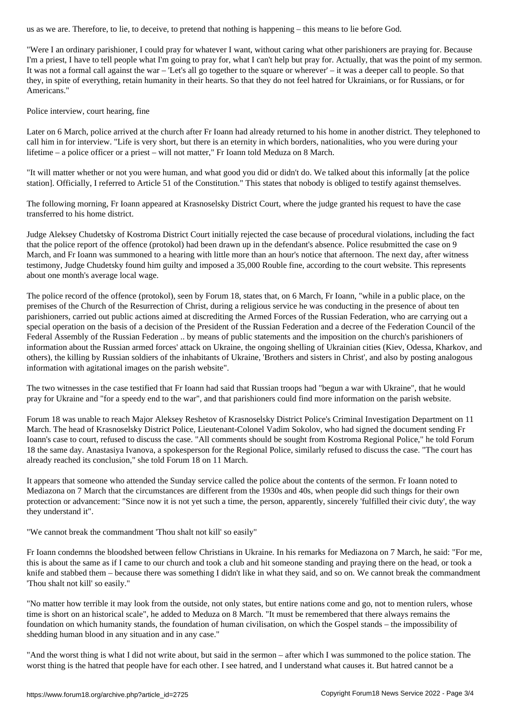"Were I an ordinary parishioner, I could pray for whatever I want, without caring what other parishioners are praying for. Because I'm a priest, I have to tell people what I'm going to pray for, what I can't help but pray for. Actually, that was the point of my sermon. It was not a formal call against the war – 'Let's all go together to the square or wherever' – it was a deeper call to people. So that they, in spite of everything, retain humanity in their hearts. So that they do not feel hatred for Ukrainians, or for Russians, or for Americans."

Police interview, court hearing, fine

Later on 6 March, police arrived at the church after Fr Ioann had already returned to his home in another district. They telephoned to call him in for interview. "Life is very short, but there is an eternity in which borders, nationalities, who you were during your lifetime – a police officer or a priest – will not matter," Fr Ioann told Meduza on 8 March.

"It will matter whether or not you were human, and what good you did or didn't do. We talked about this informally [at the police station]. Officially, I referred to Article 51 of the Constitution." This states that nobody is obliged to testify against themselves.

The following morning, Fr Ioann appeared at Krasnoselsky District Court, where the judge granted his request to have the case transferred to his home district.

Judge Aleksey Chudetsky of Kostroma District Court initially rejected the case because of procedural violations, including the fact that the police report of the offence (protokol) had been drawn up in the defendant's absence. Police resubmitted the case on 9 March, and Fr Ioann was summoned to a hearing with little more than an hour's notice that afternoon. The next day, after witness testimony, Judge Chudetsky found him guilty and imposed a 35,000 Rouble fine, according to the court website. This represents about one month's average local wage.

The police record of the offence (protokol), seen by Forum 18, states that, on 6 March, Fr Ioann, "while in a public place, on the premises of the Church of the Resurrection of Christ, during a religious service he was conducting in the presence of about ten parishioners, carried out public actions aimed at discrediting the Armed Forces of the Russian Federation, who are carrying out a special operation on the basis of a decision of the President of the Russian Federation and a decree of the Federation Council of the Federal Assembly of the Russian Federation .. by means of public statements and the imposition on the church's parishioners of information about the Russian armed forces' attack on Ukraine, the ongoing shelling of Ukrainian cities (Kiev, Odessa, Kharkov, and others), the killing by Russian soldiers of the inhabitants of Ukraine, 'Brothers and sisters in Christ', and also by posting analogous information with agitational images on the parish website".

The two witnesses in the case testified that Fr Ioann had said that Russian troops had "begun a war with Ukraine", that he would pray for Ukraine and "for a speedy end to the war", and that parishioners could find more information on the parish website.

Forum 18 was unable to reach Major Aleksey Reshetov of Krasnoselsky District Police's Criminal Investigation Department on 11 March. The head of Krasnoselsky District Police, Lieutenant-Colonel Vadim Sokolov, who had signed the document sending Fr Ioann's case to court, refused to discuss the case. "All comments should be sought from Kostroma Regional Police," he told Forum 18 the same day. Anastasiya Ivanova, a spokesperson for the Regional Police, similarly refused to discuss the case. "The court has already reached its conclusion," she told Forum 18 on 11 March.

It appears that someone who attended the Sunday service called the police about the contents of the sermon. Fr Ioann noted to Mediazona on 7 March that the circumstances are different from the 1930s and 40s, when people did such things for their own protection or advancement: "Since now it is not yet such a time, the person, apparently, sincerely 'fulfilled their civic duty', the way they understand it".

"We cannot break the commandment 'Thou shalt not kill' so easily"

Fr Ioann condemns the bloodshed between fellow Christians in Ukraine. In his remarks for Mediazona on 7 March, he said: "For me, this is about the same as if I came to our church and took a club and hit someone standing and praying there on the head, or took a knife and stabbed them – because there was something I didn't like in what they said, and so on. We cannot break the commandment 'Thou shalt not kill' so easily."

"No matter how terrible it may look from the outside, not only states, but entire nations come and go, not to mention rulers, whose time is short on an historical scale", he added to Meduza on 8 March. "It must be remembered that there always remains the foundation on which humanity stands, the foundation of human civilisation, on which the Gospel stands – the impossibility of shedding human blood in any situation and in any case."

"And the worst thing is what I did not write about, but said in the sermon – after which I was summoned to the police station. The worst thing is the hatred that people have for each other. I see hatred, and I understand what causes it. But hatred cannot be a